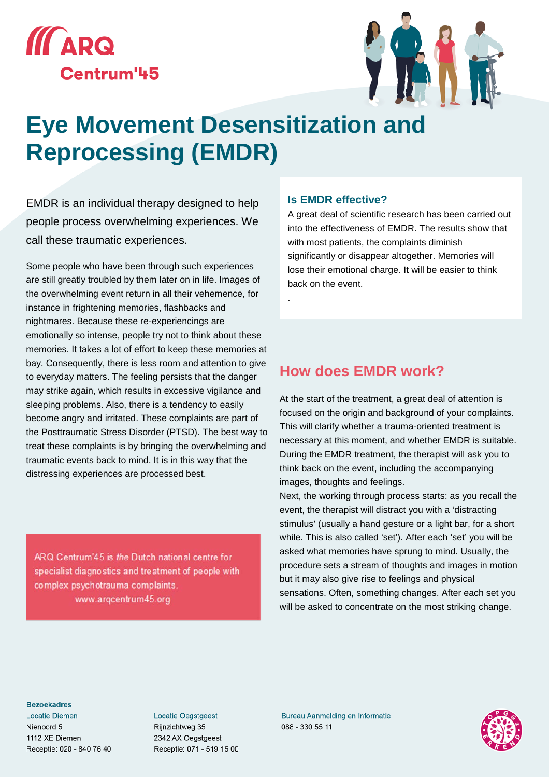



# **Eye Movement Desensitization and Reprocessing (EMDR)**

EMDR is an individual therapy designed to help people process overwhelming experiences. We call these traumatic experiences.

Some people who have been through such experiences are still greatly troubled by them later on in life. Images of the overwhelming event return in all their vehemence, for instance in frightening memories, flashbacks and nightmares. Because these re-experiencings are emotionally so intense, people try not to think about these memories. It takes a lot of effort to keep these memories at bay. Consequently, there is less room and attention to give to everyday matters. The feeling persists that the danger may strike again, which results in excessive vigilance and sleeping problems. Also, there is a tendency to easily become angry and irritated. These complaints are part of the Posttraumatic Stress Disorder (PTSD). The best way to treat these complaints is by bringing the overwhelming and traumatic events back to mind. It is in this way that the distressing experiences are processed best.

ARQ Centrum'45 is the Dutch national centre for specialist diagnostics and treatment of people with complex psychotrauma complaints. www.argcentrum45.org

### **Is EMDR effective?**

.

A great deal of scientific research has been carried out into the effectiveness of EMDR. The results show that with most patients, the complaints diminish significantly or disappear altogether. Memories will lose their emotional charge. It will be easier to think back on the event.

# **How does EMDR work?**

At the start of the treatment, a great deal of attention is focused on the origin and background of your complaints. This will clarify whether a trauma-oriented treatment is necessary at this moment, and whether EMDR is suitable. During the EMDR treatment, the therapist will ask you to think back on the event, including the accompanying images, thoughts and feelings.

Next, the working through process starts: as you recall the event, the therapist will distract you with a 'distracting stimulus' (usually a hand gesture or a light bar, for a short while. This is also called 'set'). After each 'set' you will be asked what memories have sprung to mind. Usually, the procedure sets a stream of thoughts and images in motion but it may also give rise to feelings and physical sensations. Often, something changes. After each set you will be asked to concentrate on the most striking change.

#### **Bezoekadres**

**Locatie Diemen** Nienoord 5 1112 XE Diemen Receptie: 020 - 840 76 40 **Locatie Oegstgeest** Rijnzichtweg 35 2342 AX Oegstgeest Receptie: 071 - 519 15 00

**Bureau Aanmelding en Informatie** 088 - 330 55 11